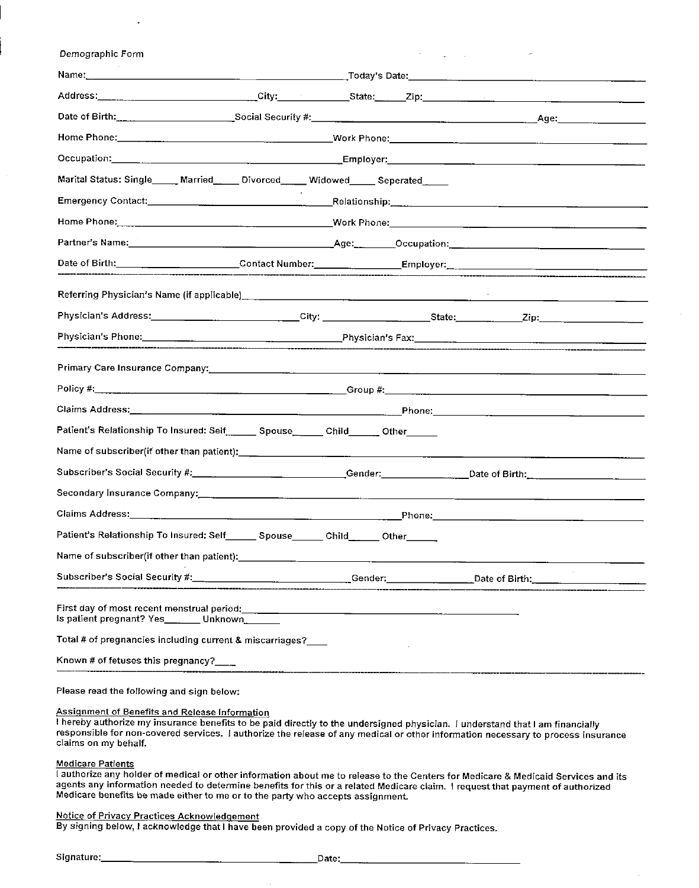| Demographic Form                                                                                                                                                                                                                                                                    |  |  |                                                                                  |
|-------------------------------------------------------------------------------------------------------------------------------------------------------------------------------------------------------------------------------------------------------------------------------------|--|--|----------------------------------------------------------------------------------|
|                                                                                                                                                                                                                                                                                     |  |  |                                                                                  |
|                                                                                                                                                                                                                                                                                     |  |  |                                                                                  |
|                                                                                                                                                                                                                                                                                     |  |  |                                                                                  |
|                                                                                                                                                                                                                                                                                     |  |  |                                                                                  |
|                                                                                                                                                                                                                                                                                     |  |  |                                                                                  |
| Marital Status: Single_____ Married_____ Divorced_____ Widowed____ Seperated____                                                                                                                                                                                                    |  |  |                                                                                  |
|                                                                                                                                                                                                                                                                                     |  |  |                                                                                  |
|                                                                                                                                                                                                                                                                                     |  |  |                                                                                  |
|                                                                                                                                                                                                                                                                                     |  |  |                                                                                  |
| Date of Birth: ________________________Contact Number: ________________Employer: _____________________________                                                                                                                                                                      |  |  |                                                                                  |
|                                                                                                                                                                                                                                                                                     |  |  |                                                                                  |
| Physician's Address:___________________________City: ___________________State:____________Zip:________________                                                                                                                                                                      |  |  |                                                                                  |
|                                                                                                                                                                                                                                                                                     |  |  |                                                                                  |
|                                                                                                                                                                                                                                                                                     |  |  |                                                                                  |
| Primary Care Insurance Company: Care and Communication of the Communication of the Communication of the Communication of the Communication of the Communication of the Communication of the Communication of the Communication                                                      |  |  |                                                                                  |
|                                                                                                                                                                                                                                                                                     |  |  |                                                                                  |
| Patient's Relationship To Insured: Self. Chouse Child Child Cher                                                                                                                                                                                                                    |  |  |                                                                                  |
|                                                                                                                                                                                                                                                                                     |  |  |                                                                                  |
| Subscriber's Social Security #:_____________________________Gender:_______________Date of Birth:____________________                                                                                                                                                                |  |  |                                                                                  |
| Secondary Insurance Company: Call Company and Company and Company and Company and Company and Company and Comp                                                                                                                                                                      |  |  |                                                                                  |
|                                                                                                                                                                                                                                                                                     |  |  |                                                                                  |
| Patient's Relationship To Insured: Self_______ Spouse_______ Child______ Other______                                                                                                                                                                                                |  |  |                                                                                  |
|                                                                                                                                                                                                                                                                                     |  |  |                                                                                  |
|                                                                                                                                                                                                                                                                                     |  |  | _Gender:___________________________Date of Birth:_______________________________ |
| First day of most recent menstrual period:<br>First day of most recent menstrual period:<br>The manuscription of the manuscription of the manuscription of the mensural of the manuscription of the manuscription of the manuscrip<br>Is patient pregnant? Yes_______ Unknown______ |  |  |                                                                                  |
| Total # of pregnancies including current & miscarriages?___                                                                                                                                                                                                                         |  |  |                                                                                  |
| Known # of fetuses this pregnancy?___                                                                                                                                                                                                                                               |  |  |                                                                                  |

Please read the following and sign below:

## Assignment of Benefits and Release Information

hereby authorize my insurance benefits to be paid directly to the undersigned physician. I understand that I am financially responsible for non-covered services, I authorize the release of any medical or other information necessary to process insurance claims on my behalf.

## Medicare Patients

I authorize any holder of medical or other information about me to release to the Centers for Medicare & Medicaid Services and its agents any information needed to determine benefits for this or a related Medicare claim. I request that payment of authorized Medicare benefits be made either to me or to the party who accepts assignment.

## Notice of Privacy Practices Acknowledgement

By signing below, I acknowledge that I have been provided a copy of the Notice of Privacy Practices.